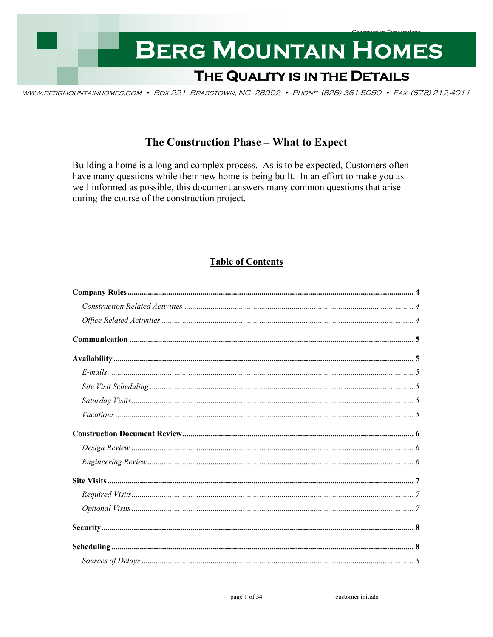

WWW.BERGMOUNTAINHOMES.COM • BOX 221 BRASSTOWN, NC 28902 • PHONE (828) 361-5050 • FAX (678) 212-4011

# The Construction Phase - What to Expect

Building a home is a long and complex process. As is to be expected, Customers often have many questions while their new home is being built. In an effort to make you as well informed as possible, this document answers many common questions that arise during the course of the construction project.

# **Table of Contents**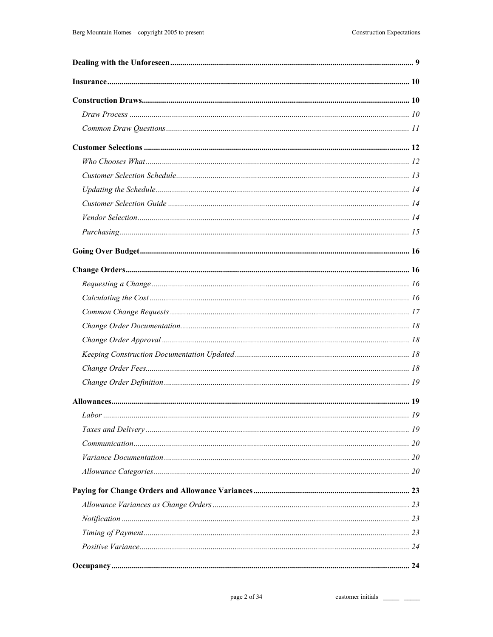customer initials \_\_\_\_\_\_\_ \_\_\_\_\_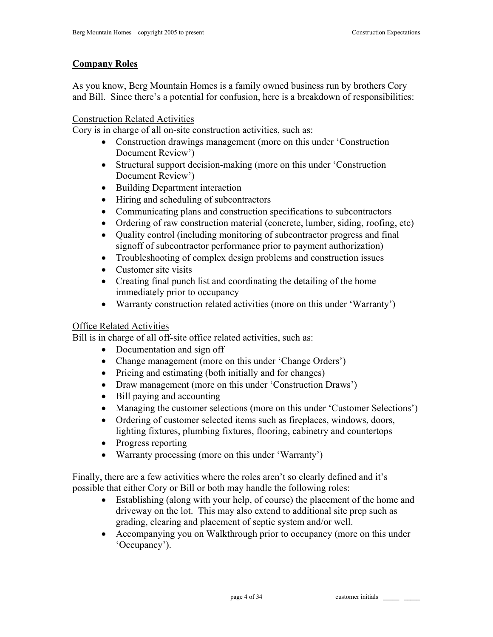## **Company Roles**

As you know, Berg Mountain Homes is a family owned business run by brothers Cory and Bill. Since there's a potential for confusion, here is a breakdown of responsibilities:

## Construction Related Activities

Cory is in charge of all on-site construction activities, such as:

- Construction drawings management (more on this under 'Construction Document Review')
- Structural support decision-making (more on this under 'Construction Document Review')
- Building Department interaction
- Hiring and scheduling of subcontractors
- Communicating plans and construction specifications to subcontractors
- Ordering of raw construction material (concrete, lumber, siding, roofing, etc)
- Quality control (including monitoring of subcontractor progress and final signoff of subcontractor performance prior to payment authorization)
- Troubleshooting of complex design problems and construction issues
- Customer site visits
- Creating final punch list and coordinating the detailing of the home immediately prior to occupancy
- Warranty construction related activities (more on this under 'Warranty')

## Office Related Activities

Bill is in charge of all off-site office related activities, such as:

- Documentation and sign off
- Change management (more on this under 'Change Orders')
- Pricing and estimating (both initially and for changes)
- Draw management (more on this under 'Construction Draws')
- Bill paying and accounting
- Managing the customer selections (more on this under 'Customer Selections')
- Ordering of customer selected items such as fireplaces, windows, doors, lighting fixtures, plumbing fixtures, flooring, cabinetry and countertops
- Progress reporting
- Warranty processing (more on this under 'Warranty')

Finally, there are a few activities where the roles aren't so clearly defined and it's possible that either Cory or Bill or both may handle the following roles:

- Establishing (along with your help, of course) the placement of the home and driveway on the lot. This may also extend to additional site prep such as grading, clearing and placement of septic system and/or well.
- Accompanying you on Walkthrough prior to occupancy (more on this under 'Occupancy').

page 4 of 34 customer initials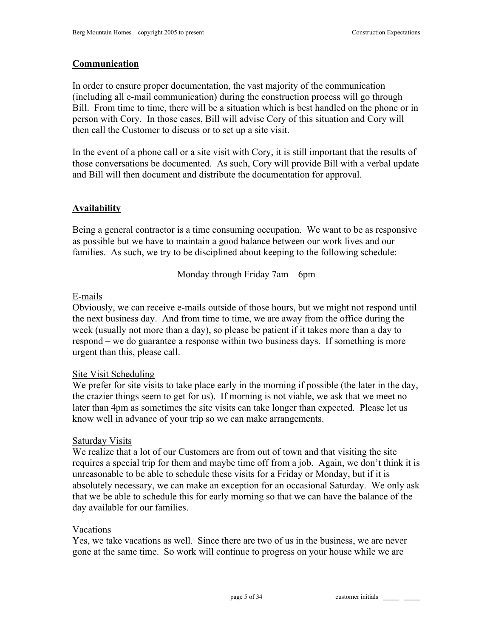## **Communication**

In order to ensure proper documentation, the vast majority of the communication (including all e-mail communication) during the construction process will go through Bill. From time to time, there will be a situation which is best handled on the phone or in person with Cory. In those cases, Bill will advise Cory of this situation and Cory will then call the Customer to discuss or to set up a site visit.

In the event of a phone call or a site visit with Cory, it is still important that the results of those conversations be documented. As such, Cory will provide Bill with a verbal update and Bill will then document and distribute the documentation for approval.

## **Availability**

Being a general contractor is a time consuming occupation. We want to be as responsive as possible but we have to maintain a good balance between our work lives and our families. As such, we try to be disciplined about keeping to the following schedule:

Monday through Friday 7am – 6pm

#### E-mails

Obviously, we can receive e-mails outside of those hours, but we might not respond until the next business day. And from time to time, we are away from the office during the week (usually not more than a day), so please be patient if it takes more than a day to respond – we do guarantee a response within two business days. If something is more urgent than this, please call.

## Site Visit Scheduling

We prefer for site visits to take place early in the morning if possible (the later in the day, the crazier things seem to get for us). If morning is not viable, we ask that we meet no later than 4pm as sometimes the site visits can take longer than expected. Please let us know well in advance of your trip so we can make arrangements.

#### Saturday Visits

We realize that a lot of our Customers are from out of town and that visiting the site requires a special trip for them and maybe time off from a job. Again, we don't think it is unreasonable to be able to schedule these visits for a Friday or Monday, but if it is absolutely necessary, we can make an exception for an occasional Saturday. We only ask that we be able to schedule this for early morning so that we can have the balance of the day available for our families.

#### Vacations

Yes, we take vacations as well. Since there are two of us in the business, we are never gone at the same time. So work will continue to progress on your house while we are

page 5 of 34 customer initials \_\_\_\_\_\_\_\_\_\_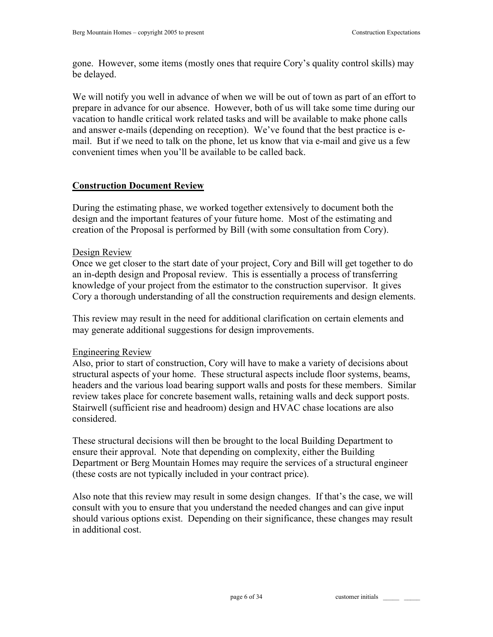gone. However, some items (mostly ones that require Cory's quality control skills) may be delayed.

We will notify you well in advance of when we will be out of town as part of an effort to prepare in advance for our absence. However, both of us will take some time during our vacation to handle critical work related tasks and will be available to make phone calls and answer e-mails (depending on reception). We've found that the best practice is email. But if we need to talk on the phone, let us know that via e-mail and give us a few convenient times when you'll be available to be called back.

# **Construction Document Review**

During the estimating phase, we worked together extensively to document both the design and the important features of your future home. Most of the estimating and creation of the Proposal is performed by Bill (with some consultation from Cory).

# Design Review

Once we get closer to the start date of your project, Cory and Bill will get together to do an in-depth design and Proposal review. This is essentially a process of transferring knowledge of your project from the estimator to the construction supervisor. It gives Cory a thorough understanding of all the construction requirements and design elements.

This review may result in the need for additional clarification on certain elements and may generate additional suggestions for design improvements.

## Engineering Review

Also, prior to start of construction, Cory will have to make a variety of decisions about structural aspects of your home. These structural aspects include floor systems, beams, headers and the various load bearing support walls and posts for these members. Similar review takes place for concrete basement walls, retaining walls and deck support posts. Stairwell (sufficient rise and headroom) design and HVAC chase locations are also considered.

These structural decisions will then be brought to the local Building Department to ensure their approval. Note that depending on complexity, either the Building Department or Berg Mountain Homes may require the services of a structural engineer (these costs are not typically included in your contract price).

Also note that this review may result in some design changes. If that's the case, we will consult with you to ensure that you understand the needed changes and can give input should various options exist. Depending on their significance, these changes may result in additional cost.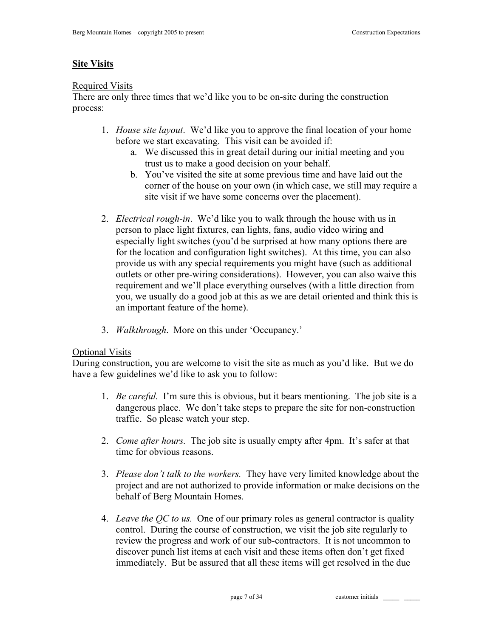# **Site Visits**

#### Required Visits

There are only three times that we'd like you to be on-site during the construction process:

- 1. *House site layout*. We'd like you to approve the final location of your home before we start excavating. This visit can be avoided if:
	- a. We discussed this in great detail during our initial meeting and you trust us to make a good decision on your behalf.
	- b. You've visited the site at some previous time and have laid out the corner of the house on your own (in which case, we still may require a site visit if we have some concerns over the placement).
- 2. *Electrical rough-in*. We'd like you to walk through the house with us in person to place light fixtures, can lights, fans, audio video wiring and especially light switches (you'd be surprised at how many options there are for the location and configuration light switches). At this time, you can also provide us with any special requirements you might have (such as additional outlets or other pre-wiring considerations). However, you can also waive this requirement and we'll place everything ourselves (with a little direction from you, we usually do a good job at this as we are detail oriented and think this is an important feature of the home).
- 3. *Walkthrough*. More on this under 'Occupancy.'

## Optional Visits

During construction, you are welcome to visit the site as much as you'd like. But we do have a few guidelines we'd like to ask you to follow:

- 1. *Be careful.* I'm sure this is obvious, but it bears mentioning. The job site is a dangerous place. We don't take steps to prepare the site for non-construction traffic. So please watch your step.
- 2. *Come after hours.* The job site is usually empty after 4pm. It's safer at that time for obvious reasons.
- 3. *Please don't talk to the workers.* They have very limited knowledge about the project and are not authorized to provide information or make decisions on the behalf of Berg Mountain Homes.
- 4. *Leave the QC to us.* One of our primary roles as general contractor is quality control. During the course of construction, we visit the job site regularly to review the progress and work of our sub-contractors. It is not uncommon to discover punch list items at each visit and these items often don't get fixed immediately. But be assured that all these items will get resolved in the due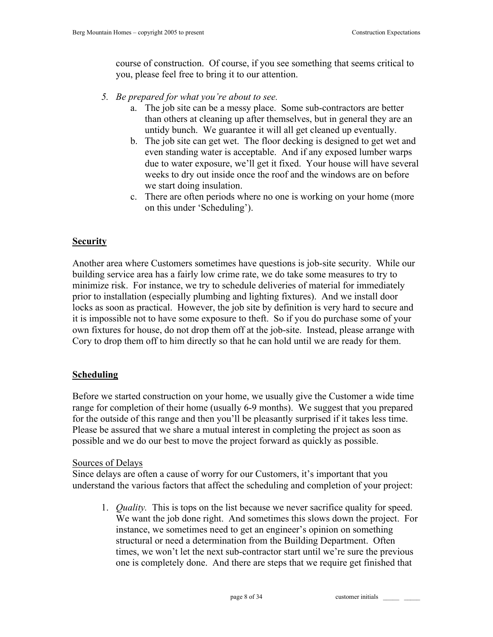course of construction. Of course, if you see something that seems critical to you, please feel free to bring it to our attention.

- *5. Be prepared for what you're about to see.* 
	- a. The job site can be a messy place. Some sub-contractors are better than others at cleaning up after themselves, but in general they are an untidy bunch. We guarantee it will all get cleaned up eventually.
	- b. The job site can get wet. The floor decking is designed to get wet and even standing water is acceptable. And if any exposed lumber warps due to water exposure, we'll get it fixed. Your house will have several weeks to dry out inside once the roof and the windows are on before we start doing insulation.
	- c. There are often periods where no one is working on your home (more on this under 'Scheduling').

# **Security**

Another area where Customers sometimes have questions is job-site security. While our building service area has a fairly low crime rate, we do take some measures to try to minimize risk. For instance, we try to schedule deliveries of material for immediately prior to installation (especially plumbing and lighting fixtures). And we install door locks as soon as practical. However, the job site by definition is very hard to secure and it is impossible not to have some exposure to theft. So if you do purchase some of your own fixtures for house, do not drop them off at the job-site. Instead, please arrange with Cory to drop them off to him directly so that he can hold until we are ready for them.

# **Scheduling**

Before we started construction on your home, we usually give the Customer a wide time range for completion of their home (usually 6-9 months). We suggest that you prepared for the outside of this range and then you'll be pleasantly surprised if it takes less time. Please be assured that we share a mutual interest in completing the project as soon as possible and we do our best to move the project forward as quickly as possible.

# Sources of Delays

Since delays are often a cause of worry for our Customers, it's important that you understand the various factors that affect the scheduling and completion of your project:

1. *Quality.* This is tops on the list because we never sacrifice quality for speed. We want the job done right. And sometimes this slows down the project. For instance, we sometimes need to get an engineer's opinion on something structural or need a determination from the Building Department. Often times, we won't let the next sub-contractor start until we're sure the previous one is completely done. And there are steps that we require get finished that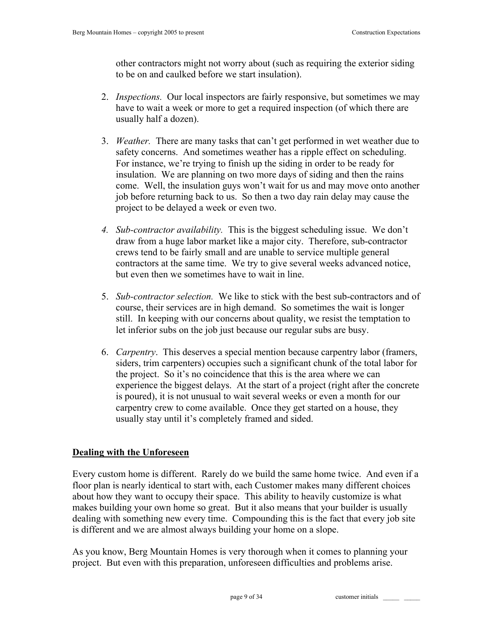other contractors might not worry about (such as requiring the exterior siding to be on and caulked before we start insulation).

- 2. *Inspections.* Our local inspectors are fairly responsive, but sometimes we may have to wait a week or more to get a required inspection (of which there are usually half a dozen).
- 3. *Weather.* There are many tasks that can't get performed in wet weather due to safety concerns. And sometimes weather has a ripple effect on scheduling. For instance, we're trying to finish up the siding in order to be ready for insulation. We are planning on two more days of siding and then the rains come. Well, the insulation guys won't wait for us and may move onto another job before returning back to us. So then a two day rain delay may cause the project to be delayed a week or even two.
- *4. Sub-contractor availability.* This is the biggest scheduling issue. We don't draw from a huge labor market like a major city. Therefore, sub-contractor crews tend to be fairly small and are unable to service multiple general contractors at the same time. We try to give several weeks advanced notice, but even then we sometimes have to wait in line.
- 5. *Sub-contractor selection.* We like to stick with the best sub-contractors and of course, their services are in high demand. So sometimes the wait is longer still. In keeping with our concerns about quality, we resist the temptation to let inferior subs on the job just because our regular subs are busy.
- 6. *Carpentry*. This deserves a special mention because carpentry labor (framers, siders, trim carpenters) occupies such a significant chunk of the total labor for the project. So it's no coincidence that this is the area where we can experience the biggest delays. At the start of a project (right after the concrete is poured), it is not unusual to wait several weeks or even a month for our carpentry crew to come available. Once they get started on a house, they usually stay until it's completely framed and sided.

## **Dealing with the Unforeseen**

Every custom home is different. Rarely do we build the same home twice. And even if a floor plan is nearly identical to start with, each Customer makes many different choices about how they want to occupy their space. This ability to heavily customize is what makes building your own home so great. But it also means that your builder is usually dealing with something new every time. Compounding this is the fact that every job site is different and we are almost always building your home on a slope.

As you know, Berg Mountain Homes is very thorough when it comes to planning your project. But even with this preparation, unforeseen difficulties and problems arise.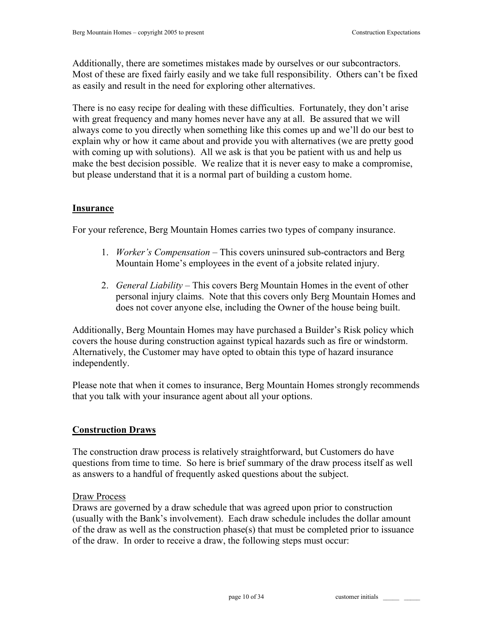Additionally, there are sometimes mistakes made by ourselves or our subcontractors. Most of these are fixed fairly easily and we take full responsibility. Others can't be fixed as easily and result in the need for exploring other alternatives.

There is no easy recipe for dealing with these difficulties. Fortunately, they don't arise with great frequency and many homes never have any at all. Be assured that we will always come to you directly when something like this comes up and we'll do our best to explain why or how it came about and provide you with alternatives (we are pretty good with coming up with solutions). All we ask is that you be patient with us and help us make the best decision possible. We realize that it is never easy to make a compromise, but please understand that it is a normal part of building a custom home.

## **Insurance**

For your reference, Berg Mountain Homes carries two types of company insurance.

- 1. *Worker's Compensation*  This covers uninsured sub-contractors and Berg Mountain Home's employees in the event of a jobsite related injury.
- 2. *General Liability*  This covers Berg Mountain Homes in the event of other personal injury claims. Note that this covers only Berg Mountain Homes and does not cover anyone else, including the Owner of the house being built.

Additionally, Berg Mountain Homes may have purchased a Builder's Risk policy which covers the house during construction against typical hazards such as fire or windstorm. Alternatively, the Customer may have opted to obtain this type of hazard insurance independently.

Please note that when it comes to insurance, Berg Mountain Homes strongly recommends that you talk with your insurance agent about all your options.

## **Construction Draws**

The construction draw process is relatively straightforward, but Customers do have questions from time to time. So here is brief summary of the draw process itself as well as answers to a handful of frequently asked questions about the subject.

#### Draw Process

Draws are governed by a draw schedule that was agreed upon prior to construction (usually with the Bank's involvement). Each draw schedule includes the dollar amount of the draw as well as the construction phase(s) that must be completed prior to issuance of the draw. In order to receive a draw, the following steps must occur:

page 10 of 34 customer initials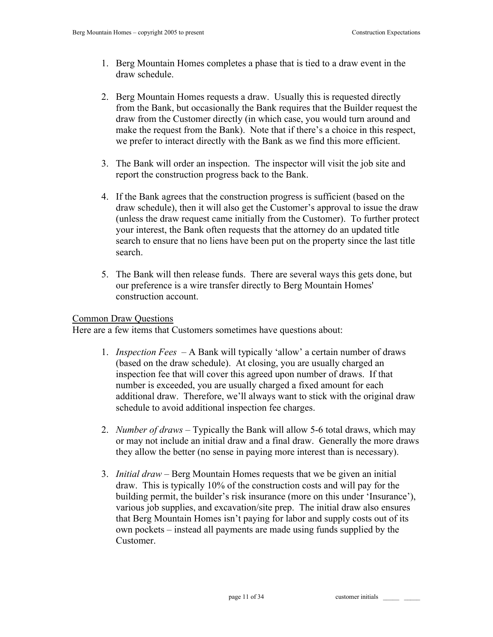- 1. Berg Mountain Homes completes a phase that is tied to a draw event in the draw schedule.
- 2. Berg Mountain Homes requests a draw. Usually this is requested directly from the Bank, but occasionally the Bank requires that the Builder request the draw from the Customer directly (in which case, you would turn around and make the request from the Bank). Note that if there's a choice in this respect, we prefer to interact directly with the Bank as we find this more efficient.
- 3. The Bank will order an inspection. The inspector will visit the job site and report the construction progress back to the Bank.
- 4. If the Bank agrees that the construction progress is sufficient (based on the draw schedule), then it will also get the Customer's approval to issue the draw (unless the draw request came initially from the Customer). To further protect your interest, the Bank often requests that the attorney do an updated title search to ensure that no liens have been put on the property since the last title search.
- 5. The Bank will then release funds. There are several ways this gets done, but our preference is a wire transfer directly to Berg Mountain Homes' construction account.

#### Common Draw Questions

Here are a few items that Customers sometimes have questions about:

- 1. *Inspection Fees*  A Bank will typically 'allow' a certain number of draws (based on the draw schedule). At closing, you are usually charged an inspection fee that will cover this agreed upon number of draws. If that number is exceeded, you are usually charged a fixed amount for each additional draw. Therefore, we'll always want to stick with the original draw schedule to avoid additional inspection fee charges.
- 2. *Number of draws* Typically the Bank will allow 5-6 total draws, which may or may not include an initial draw and a final draw. Generally the more draws they allow the better (no sense in paying more interest than is necessary).
- 3. *Initial draw* Berg Mountain Homes requests that we be given an initial draw. This is typically 10% of the construction costs and will pay for the building permit, the builder's risk insurance (more on this under 'Insurance'), various job supplies, and excavation/site prep. The initial draw also ensures that Berg Mountain Homes isn't paying for labor and supply costs out of its own pockets – instead all payments are made using funds supplied by the Customer.

page 11 of 34 customer initials \_\_\_\_\_ \_\_\_\_\_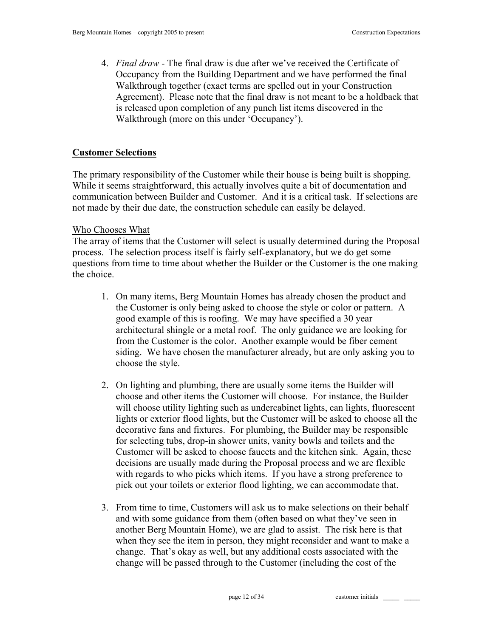4. *Final draw* - The final draw is due after we've received the Certificate of Occupancy from the Building Department and we have performed the final Walkthrough together (exact terms are spelled out in your Construction Agreement). Please note that the final draw is not meant to be a holdback that is released upon completion of any punch list items discovered in the Walkthrough (more on this under 'Occupancy').

# **Customer Selections**

The primary responsibility of the Customer while their house is being built is shopping. While it seems straightforward, this actually involves quite a bit of documentation and communication between Builder and Customer. And it is a critical task. If selections are not made by their due date, the construction schedule can easily be delayed.

# Who Chooses What

The array of items that the Customer will select is usually determined during the Proposal process. The selection process itself is fairly self-explanatory, but we do get some questions from time to time about whether the Builder or the Customer is the one making the choice.

- 1. On many items, Berg Mountain Homes has already chosen the product and the Customer is only being asked to choose the style or color or pattern. A good example of this is roofing. We may have specified a 30 year architectural shingle or a metal roof. The only guidance we are looking for from the Customer is the color. Another example would be fiber cement siding. We have chosen the manufacturer already, but are only asking you to choose the style.
- 2. On lighting and plumbing, there are usually some items the Builder will choose and other items the Customer will choose. For instance, the Builder will choose utility lighting such as undercabinet lights, can lights, fluorescent lights or exterior flood lights, but the Customer will be asked to choose all the decorative fans and fixtures. For plumbing, the Builder may be responsible for selecting tubs, drop-in shower units, vanity bowls and toilets and the Customer will be asked to choose faucets and the kitchen sink. Again, these decisions are usually made during the Proposal process and we are flexible with regards to who picks which items. If you have a strong preference to pick out your toilets or exterior flood lighting, we can accommodate that.
- 3. From time to time, Customers will ask us to make selections on their behalf and with some guidance from them (often based on what they've seen in another Berg Mountain Home), we are glad to assist. The risk here is that when they see the item in person, they might reconsider and want to make a change. That's okay as well, but any additional costs associated with the change will be passed through to the Customer (including the cost of the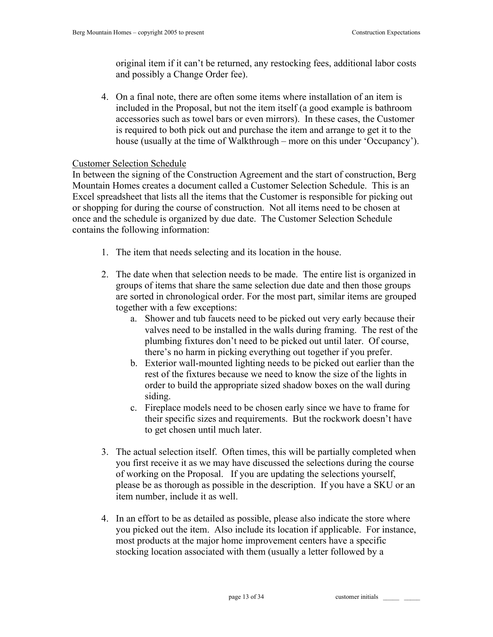original item if it can't be returned, any restocking fees, additional labor costs and possibly a Change Order fee).

4. On a final note, there are often some items where installation of an item is included in the Proposal, but not the item itself (a good example is bathroom accessories such as towel bars or even mirrors). In these cases, the Customer is required to both pick out and purchase the item and arrange to get it to the house (usually at the time of Walkthrough – more on this under 'Occupancy').

## Customer Selection Schedule

In between the signing of the Construction Agreement and the start of construction, Berg Mountain Homes creates a document called a Customer Selection Schedule. This is an Excel spreadsheet that lists all the items that the Customer is responsible for picking out or shopping for during the course of construction. Not all items need to be chosen at once and the schedule is organized by due date. The Customer Selection Schedule contains the following information:

- 1. The item that needs selecting and its location in the house.
- 2. The date when that selection needs to be made. The entire list is organized in groups of items that share the same selection due date and then those groups are sorted in chronological order. For the most part, similar items are grouped together with a few exceptions:
	- a. Shower and tub faucets need to be picked out very early because their valves need to be installed in the walls during framing. The rest of the plumbing fixtures don't need to be picked out until later. Of course, there's no harm in picking everything out together if you prefer.
	- b. Exterior wall-mounted lighting needs to be picked out earlier than the rest of the fixtures because we need to know the size of the lights in order to build the appropriate sized shadow boxes on the wall during siding.
	- c. Fireplace models need to be chosen early since we have to frame for their specific sizes and requirements. But the rockwork doesn't have to get chosen until much later.
- 3. The actual selection itself. Often times, this will be partially completed when you first receive it as we may have discussed the selections during the course of working on the Proposal. If you are updating the selections yourself, please be as thorough as possible in the description. If you have a SKU or an item number, include it as well.
- 4. In an effort to be as detailed as possible, please also indicate the store where you picked out the item. Also include its location if applicable. For instance, most products at the major home improvement centers have a specific stocking location associated with them (usually a letter followed by a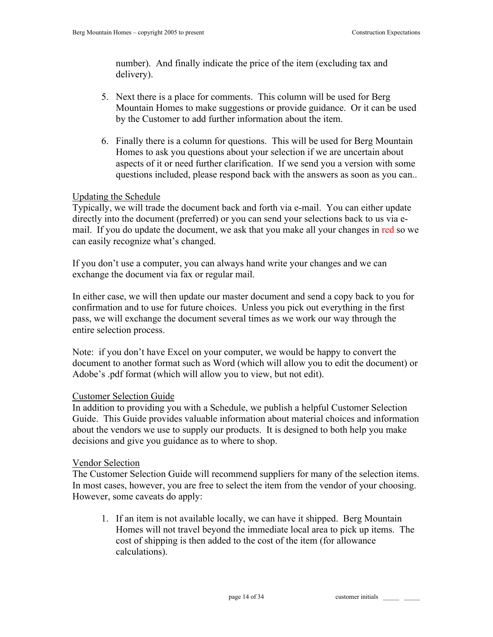number). And finally indicate the price of the item (excluding tax and delivery).

- 5. Next there is a place for comments. This column will be used for Berg Mountain Homes to make suggestions or provide guidance. Or it can be used by the Customer to add further information about the item.
- 6. Finally there is a column for questions. This will be used for Berg Mountain Homes to ask you questions about your selection if we are uncertain about aspects of it or need further clarification. If we send you a version with some questions included, please respond back with the answers as soon as you can..

# Updating the Schedule

Typically, we will trade the document back and forth via e-mail. You can either update directly into the document (preferred) or you can send your selections back to us via email. If you do update the document, we ask that you make all your changes in red so we can easily recognize what's changed.

If you don't use a computer, you can always hand write your changes and we can exchange the document via fax or regular mail.

In either case, we will then update our master document and send a copy back to you for confirmation and to use for future choices. Unless you pick out everything in the first pass, we will exchange the document several times as we work our way through the entire selection process.

Note: if you don't have Excel on your computer, we would be happy to convert the document to another format such as Word (which will allow you to edit the document) or Adobe's .pdf format (which will allow you to view, but not edit).

## Customer Selection Guide

In addition to providing you with a Schedule, we publish a helpful Customer Selection Guide. This Guide provides valuable information about material choices and information about the vendors we use to supply our products. It is designed to both help you make decisions and give you guidance as to where to shop.

## Vendor Selection

The Customer Selection Guide will recommend suppliers for many of the selection items. In most cases, however, you are free to select the item from the vendor of your choosing. However, some caveats do apply:

1. If an item is not available locally, we can have it shipped. Berg Mountain Homes will not travel beyond the immediate local area to pick up items. The cost of shipping is then added to the cost of the item (for allowance calculations).

page 14 of 34 customer initials \_\_\_\_\_ \_\_\_\_\_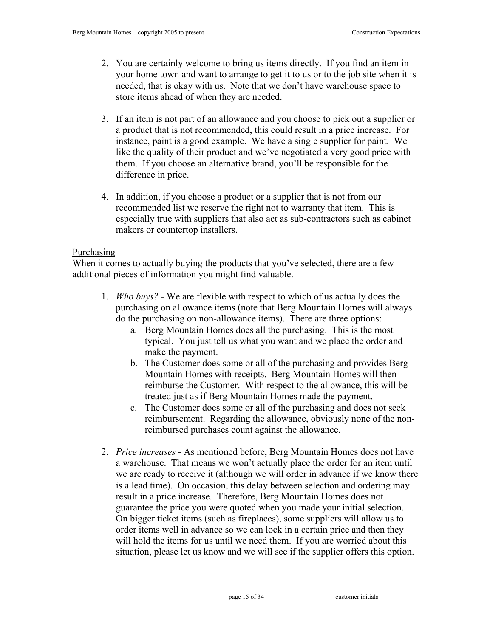- 2. You are certainly welcome to bring us items directly. If you find an item in your home town and want to arrange to get it to us or to the job site when it is needed, that is okay with us. Note that we don't have warehouse space to store items ahead of when they are needed.
- 3. If an item is not part of an allowance and you choose to pick out a supplier or a product that is not recommended, this could result in a price increase. For instance, paint is a good example. We have a single supplier for paint. We like the quality of their product and we've negotiated a very good price with them. If you choose an alternative brand, you'll be responsible for the difference in price.
- 4. In addition, if you choose a product or a supplier that is not from our recommended list we reserve the right not to warranty that item. This is especially true with suppliers that also act as sub-contractors such as cabinet makers or countertop installers.

# Purchasing

When it comes to actually buying the products that you've selected, there are a few additional pieces of information you might find valuable.

- 1. *Who buys?* We are flexible with respect to which of us actually does the purchasing on allowance items (note that Berg Mountain Homes will always do the purchasing on non-allowance items). There are three options:
	- a. Berg Mountain Homes does all the purchasing. This is the most typical. You just tell us what you want and we place the order and make the payment.
	- b. The Customer does some or all of the purchasing and provides Berg Mountain Homes with receipts. Berg Mountain Homes will then reimburse the Customer. With respect to the allowance, this will be treated just as if Berg Mountain Homes made the payment.
	- c. The Customer does some or all of the purchasing and does not seek reimbursement. Regarding the allowance, obviously none of the nonreimbursed purchases count against the allowance.
- 2. *Price increases* As mentioned before, Berg Mountain Homes does not have a warehouse. That means we won't actually place the order for an item until we are ready to receive it (although we will order in advance if we know there is a lead time). On occasion, this delay between selection and ordering may result in a price increase. Therefore, Berg Mountain Homes does not guarantee the price you were quoted when you made your initial selection. On bigger ticket items (such as fireplaces), some suppliers will allow us to order items well in advance so we can lock in a certain price and then they will hold the items for us until we need them. If you are worried about this situation, please let us know and we will see if the supplier offers this option.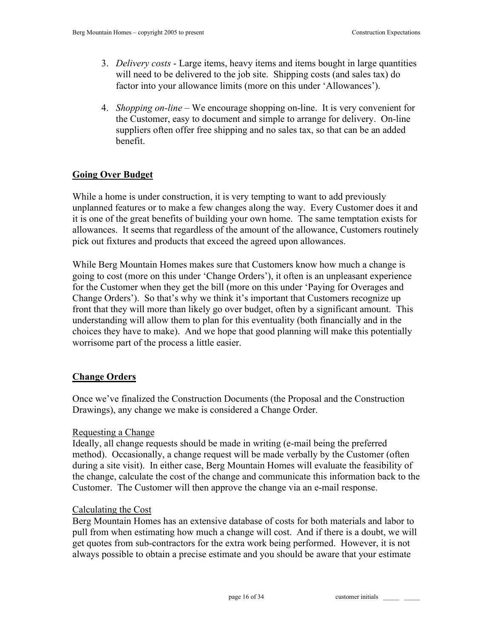- 3. *Delivery costs* Large items, heavy items and items bought in large quantities will need to be delivered to the job site. Shipping costs (and sales tax) do factor into your allowance limits (more on this under 'Allowances').
- 4. *Shopping on-line* We encourage shopping on-line. It is very convenient for the Customer, easy to document and simple to arrange for delivery. On-line suppliers often offer free shipping and no sales tax, so that can be an added benefit.

# **Going Over Budget**

While a home is under construction, it is very tempting to want to add previously unplanned features or to make a few changes along the way. Every Customer does it and it is one of the great benefits of building your own home. The same temptation exists for allowances. It seems that regardless of the amount of the allowance, Customers routinely pick out fixtures and products that exceed the agreed upon allowances.

While Berg Mountain Homes makes sure that Customers know how much a change is going to cost (more on this under 'Change Orders'), it often is an unpleasant experience for the Customer when they get the bill (more on this under 'Paying for Overages and Change Orders'). So that's why we think it's important that Customers recognize up front that they will more than likely go over budget, often by a significant amount. This understanding will allow them to plan for this eventuality (both financially and in the choices they have to make). And we hope that good planning will make this potentially worrisome part of the process a little easier.

# **Change Orders**

Once we've finalized the Construction Documents (the Proposal and the Construction Drawings), any change we make is considered a Change Order.

# Requesting a Change

Ideally, all change requests should be made in writing (e-mail being the preferred method). Occasionally, a change request will be made verbally by the Customer (often during a site visit). In either case, Berg Mountain Homes will evaluate the feasibility of the change, calculate the cost of the change and communicate this information back to the Customer. The Customer will then approve the change via an e-mail response.

# Calculating the Cost

Berg Mountain Homes has an extensive database of costs for both materials and labor to pull from when estimating how much a change will cost. And if there is a doubt, we will get quotes from sub-contractors for the extra work being performed. However, it is not always possible to obtain a precise estimate and you should be aware that your estimate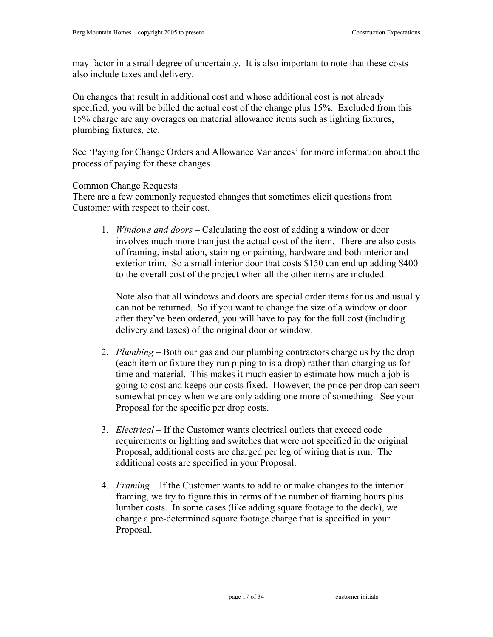may factor in a small degree of uncertainty. It is also important to note that these costs also include taxes and delivery.

On changes that result in additional cost and whose additional cost is not already specified, you will be billed the actual cost of the change plus 15%. Excluded from this 15% charge are any overages on material allowance items such as lighting fixtures, plumbing fixtures, etc.

See 'Paying for Change Orders and Allowance Variances' for more information about the process of paying for these changes.

## Common Change Requests

There are a few commonly requested changes that sometimes elicit questions from Customer with respect to their cost.

1. *Windows and doors* – Calculating the cost of adding a window or door involves much more than just the actual cost of the item. There are also costs of framing, installation, staining or painting, hardware and both interior and exterior trim. So a small interior door that costs \$150 can end up adding \$400 to the overall cost of the project when all the other items are included.

Note also that all windows and doors are special order items for us and usually can not be returned. So if you want to change the size of a window or door after they've been ordered, you will have to pay for the full cost (including delivery and taxes) of the original door or window.

- 2. *Plumbing* Both our gas and our plumbing contractors charge us by the drop (each item or fixture they run piping to is a drop) rather than charging us for time and material. This makes it much easier to estimate how much a job is going to cost and keeps our costs fixed. However, the price per drop can seem somewhat pricey when we are only adding one more of something. See your Proposal for the specific per drop costs.
- 3. *Electrical*  If the Customer wants electrical outlets that exceed code requirements or lighting and switches that were not specified in the original Proposal, additional costs are charged per leg of wiring that is run. The additional costs are specified in your Proposal.
- 4. *Framing* If the Customer wants to add to or make changes to the interior framing, we try to figure this in terms of the number of framing hours plus lumber costs. In some cases (like adding square footage to the deck), we charge a pre-determined square footage charge that is specified in your Proposal.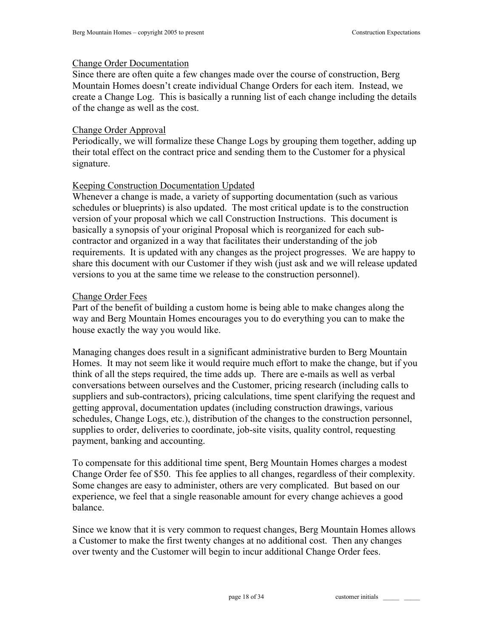#### Change Order Documentation

Since there are often quite a few changes made over the course of construction, Berg Mountain Homes doesn't create individual Change Orders for each item. Instead, we create a Change Log. This is basically a running list of each change including the details of the change as well as the cost.

#### Change Order Approval

Periodically, we will formalize these Change Logs by grouping them together, adding up their total effect on the contract price and sending them to the Customer for a physical signature.

## Keeping Construction Documentation Updated

Whenever a change is made, a variety of supporting documentation (such as various schedules or blueprints) is also updated. The most critical update is to the construction version of your proposal which we call Construction Instructions. This document is basically a synopsis of your original Proposal which is reorganized for each subcontractor and organized in a way that facilitates their understanding of the job requirements. It is updated with any changes as the project progresses. We are happy to share this document with our Customer if they wish (just ask and we will release updated versions to you at the same time we release to the construction personnel).

#### Change Order Fees

Part of the benefit of building a custom home is being able to make changes along the way and Berg Mountain Homes encourages you to do everything you can to make the house exactly the way you would like.

Managing changes does result in a significant administrative burden to Berg Mountain Homes. It may not seem like it would require much effort to make the change, but if you think of all the steps required, the time adds up. There are e-mails as well as verbal conversations between ourselves and the Customer, pricing research (including calls to suppliers and sub-contractors), pricing calculations, time spent clarifying the request and getting approval, documentation updates (including construction drawings, various schedules, Change Logs, etc.), distribution of the changes to the construction personnel, supplies to order, deliveries to coordinate, job-site visits, quality control, requesting payment, banking and accounting.

To compensate for this additional time spent, Berg Mountain Homes charges a modest Change Order fee of \$50. This fee applies to all changes, regardless of their complexity. Some changes are easy to administer, others are very complicated. But based on our experience, we feel that a single reasonable amount for every change achieves a good balance.

Since we know that it is very common to request changes, Berg Mountain Homes allows a Customer to make the first twenty changes at no additional cost. Then any changes over twenty and the Customer will begin to incur additional Change Order fees.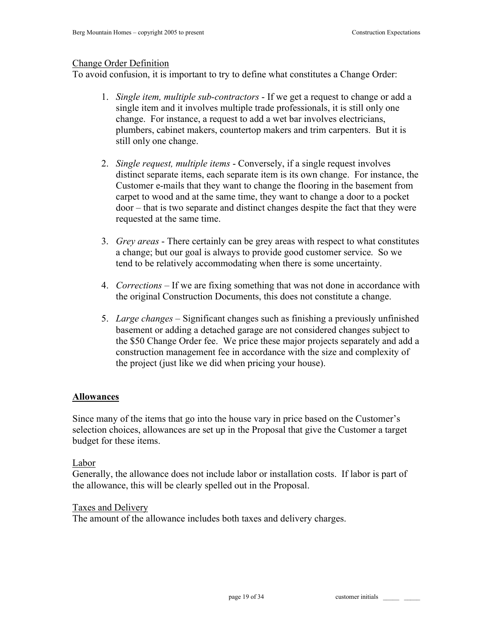## Change Order Definition

To avoid confusion, it is important to try to define what constitutes a Change Order:

- 1. *Single item, multiple sub-contractors* If we get a request to change or add a single item and it involves multiple trade professionals, it is still only one change. For instance, a request to add a wet bar involves electricians, plumbers, cabinet makers, countertop makers and trim carpenters. But it is still only one change.
- 2. *Single request, multiple items* Conversely, if a single request involves distinct separate items, each separate item is its own change. For instance, the Customer e-mails that they want to change the flooring in the basement from carpet to wood and at the same time, they want to change a door to a pocket door – that is two separate and distinct changes despite the fact that they were requested at the same time.
- 3. *Grey areas* There certainly can be grey areas with respect to what constitutes a change; but our goal is always to provide good customer service. So we tend to be relatively accommodating when there is some uncertainty.
- 4. *Corrections*  If we are fixing something that was not done in accordance with the original Construction Documents, this does not constitute a change.
- 5. *Large changes* Significant changes such as finishing a previously unfinished basement or adding a detached garage are not considered changes subject to the \$50 Change Order fee. We price these major projects separately and add a construction management fee in accordance with the size and complexity of the project (just like we did when pricing your house).

## **Allowances**

Since many of the items that go into the house vary in price based on the Customer's selection choices, allowances are set up in the Proposal that give the Customer a target budget for these items.

## Labor

Generally, the allowance does not include labor or installation costs. If labor is part of the allowance, this will be clearly spelled out in the Proposal.

## Taxes and Delivery

The amount of the allowance includes both taxes and delivery charges.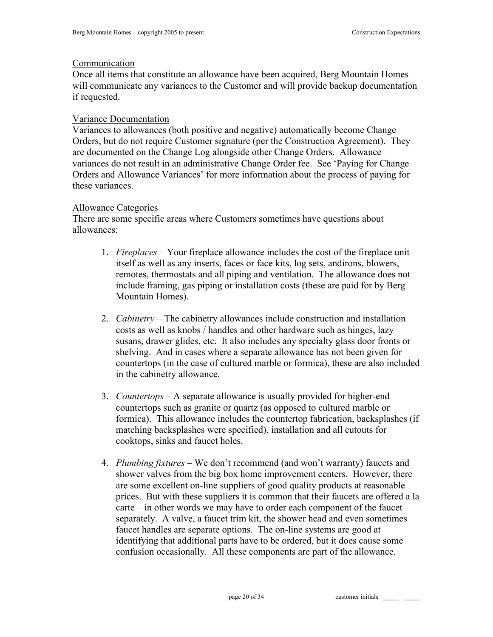#### Communication

Once all items that constitute an allowance have been acquired, Berg Mountain Homes will communicate any variances to the Customer and will provide backup documentation if requested.

## Variance Documentation

Variances to allowances (both positive and negative) automatically become Change Orders, but do not require Customer signature (per the Construction Agreement). They are documented on the Change Log alongside other Change Orders. Allowance variances do not result in an administrative Change Order fee. See 'Paying for Change Orders and Allowance Variances' for more information about the process of paying for these variances.

## Allowance Categories

There are some specific areas where Customers sometimes have questions about allowances:

- 1. *Fireplaces* Your fireplace allowance includes the cost of the fireplace unit itself as well as any inserts, faces or face kits, log sets, andirons, blowers, remotes, thermostats and all piping and ventilation. The allowance does not include framing, gas piping or installation costs (these are paid for by Berg Mountain Homes).
- 2. *Cabinetry –* The cabinetry allowances include construction and installation costs as well as knobs / handles and other hardware such as hinges, lazy susans, drawer glides, etc. It also includes any specialty glass door fronts or shelving. And in cases where a separate allowance has not been given for countertops (in the case of cultured marble or formica), these are also included in the cabinetry allowance.
- 3. *Countertops –* A separate allowance is usually provided for higher-end countertops such as granite or quartz (as opposed to cultured marble or formica). This allowance includes the countertop fabrication, backsplashes (if matching backsplashes were specified), installation and all cutouts for cooktops, sinks and faucet holes.
- 4. *Plumbing fixtures* We don't recommend (and won't warranty) faucets and shower valves from the big box home improvement centers. However, there are some excellent on-line suppliers of good quality products at reasonable prices. But with these suppliers it is common that their faucets are offered a la carte – in other words we may have to order each component of the faucet separately. A valve, a faucet trim kit, the shower head and even sometimes faucet handles are separate options. The on-line systems are good at identifying that additional parts have to be ordered, but it does cause some confusion occasionally. All these components are part of the allowance.

page 20 of 34 customer initials \_\_\_\_\_ \_\_\_\_\_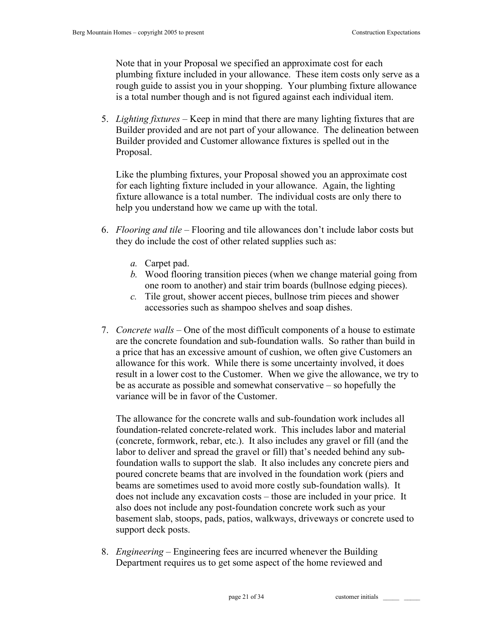Note that in your Proposal we specified an approximate cost for each plumbing fixture included in your allowance. These item costs only serve as a rough guide to assist you in your shopping. Your plumbing fixture allowance is a total number though and is not figured against each individual item.

5. *Lighting fixtures* – Keep in mind that there are many lighting fixtures that are Builder provided and are not part of your allowance. The delineation between Builder provided and Customer allowance fixtures is spelled out in the Proposal.

Like the plumbing fixtures, your Proposal showed you an approximate cost for each lighting fixture included in your allowance. Again, the lighting fixture allowance is a total number. The individual costs are only there to help you understand how we came up with the total.

- 6. *Flooring and tile* Flooring and tile allowances don't include labor costs but they do include the cost of other related supplies such as:
	- *a.* Carpet pad.
	- *b.* Wood flooring transition pieces (when we change material going from one room to another) and stair trim boards (bullnose edging pieces).
	- *c.* Tile grout, shower accent pieces, bullnose trim pieces and shower accessories such as shampoo shelves and soap dishes.
- 7. *Concrete walls*  One of the most difficult components of a house to estimate are the concrete foundation and sub-foundation walls. So rather than build in a price that has an excessive amount of cushion, we often give Customers an allowance for this work. While there is some uncertainty involved, it does result in a lower cost to the Customer. When we give the allowance, we try to be as accurate as possible and somewhat conservative – so hopefully the variance will be in favor of the Customer.

The allowance for the concrete walls and sub-foundation work includes all foundation-related concrete-related work. This includes labor and material (concrete, formwork, rebar, etc.). It also includes any gravel or fill (and the labor to deliver and spread the gravel or fill) that's needed behind any subfoundation walls to support the slab. It also includes any concrete piers and poured concrete beams that are involved in the foundation work (piers and beams are sometimes used to avoid more costly sub-foundation walls). It does not include any excavation costs – those are included in your price. It also does not include any post-foundation concrete work such as your basement slab, stoops, pads, patios, walkways, driveways or concrete used to support deck posts.

8. *Engineering* – Engineering fees are incurred whenever the Building Department requires us to get some aspect of the home reviewed and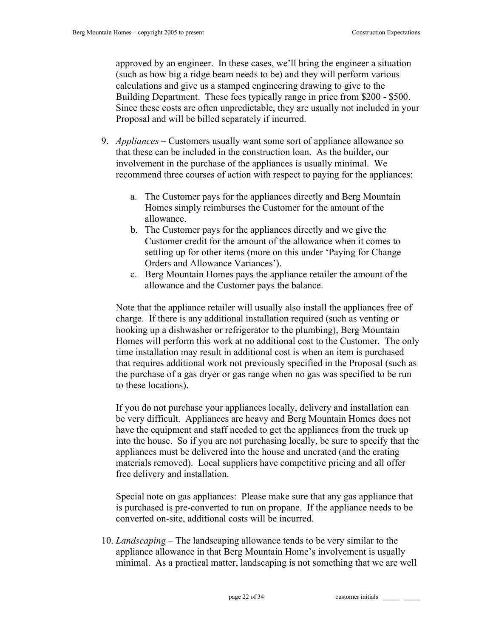approved by an engineer. In these cases, we'll bring the engineer a situation (such as how big a ridge beam needs to be) and they will perform various calculations and give us a stamped engineering drawing to give to the Building Department. These fees typically range in price from \$200 - \$500. Since these costs are often unpredictable, they are usually not included in your Proposal and will be billed separately if incurred.

- 9. *Appliances*  Customers usually want some sort of appliance allowance so that these can be included in the construction loan. As the builder, our involvement in the purchase of the appliances is usually minimal. We recommend three courses of action with respect to paying for the appliances:
	- a. The Customer pays for the appliances directly and Berg Mountain Homes simply reimburses the Customer for the amount of the allowance.
	- b. The Customer pays for the appliances directly and we give the Customer credit for the amount of the allowance when it comes to settling up for other items (more on this under 'Paying for Change Orders and Allowance Variances').
	- c. Berg Mountain Homes pays the appliance retailer the amount of the allowance and the Customer pays the balance.

Note that the appliance retailer will usually also install the appliances free of charge. If there is any additional installation required (such as venting or hooking up a dishwasher or refrigerator to the plumbing), Berg Mountain Homes will perform this work at no additional cost to the Customer. The only time installation may result in additional cost is when an item is purchased that requires additional work not previously specified in the Proposal (such as the purchase of a gas dryer or gas range when no gas was specified to be run to these locations).

If you do not purchase your appliances locally, delivery and installation can be very difficult. Appliances are heavy and Berg Mountain Homes does not have the equipment and staff needed to get the appliances from the truck up into the house. So if you are not purchasing locally, be sure to specify that the appliances must be delivered into the house and uncrated (and the crating materials removed). Local suppliers have competitive pricing and all offer free delivery and installation.

Special note on gas appliances: Please make sure that any gas appliance that is purchased is pre-converted to run on propane. If the appliance needs to be converted on-site, additional costs will be incurred.

10. *Landscaping* – The landscaping allowance tends to be very similar to the appliance allowance in that Berg Mountain Home's involvement is usually minimal. As a practical matter, landscaping is not something that we are well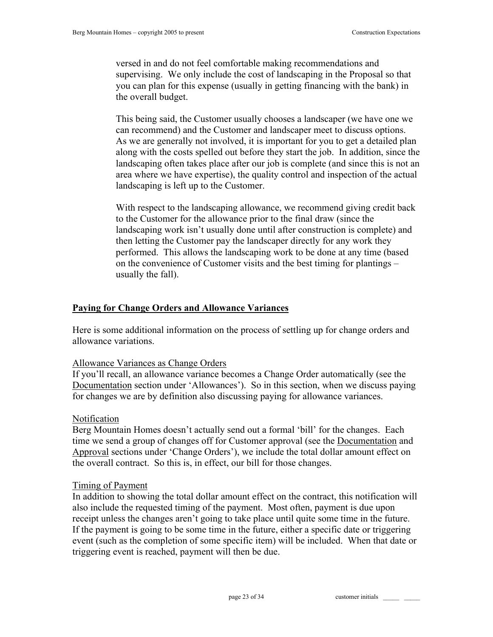versed in and do not feel comfortable making recommendations and supervising. We only include the cost of landscaping in the Proposal so that you can plan for this expense (usually in getting financing with the bank) in the overall budget.

This being said, the Customer usually chooses a landscaper (we have one we can recommend) and the Customer and landscaper meet to discuss options. As we are generally not involved, it is important for you to get a detailed plan along with the costs spelled out before they start the job. In addition, since the landscaping often takes place after our job is complete (and since this is not an area where we have expertise), the quality control and inspection of the actual landscaping is left up to the Customer.

With respect to the landscaping allowance, we recommend giving credit back to the Customer for the allowance prior to the final draw (since the landscaping work isn't usually done until after construction is complete) and then letting the Customer pay the landscaper directly for any work they performed. This allows the landscaping work to be done at any time (based on the convenience of Customer visits and the best timing for plantings – usually the fall).

## **Paying for Change Orders and Allowance Variances**

Here is some additional information on the process of settling up for change orders and allowance variations.

#### Allowance Variances as Change Orders

If you'll recall, an allowance variance becomes a Change Order automatically (see the Documentation section under 'Allowances'). So in this section, when we discuss paying for changes we are by definition also discussing paying for allowance variances.

#### Notification

Berg Mountain Homes doesn't actually send out a formal 'bill' for the changes. Each time we send a group of changes off for Customer approval (see the Documentation and Approval sections under 'Change Orders'), we include the total dollar amount effect on the overall contract. So this is, in effect, our bill for those changes.

#### Timing of Payment

In addition to showing the total dollar amount effect on the contract, this notification will also include the requested timing of the payment. Most often, payment is due upon receipt unless the changes aren't going to take place until quite some time in the future. If the payment is going to be some time in the future, either a specific date or triggering event (such as the completion of some specific item) will be included. When that date or triggering event is reached, payment will then be due.

page 23 of 34 customer initials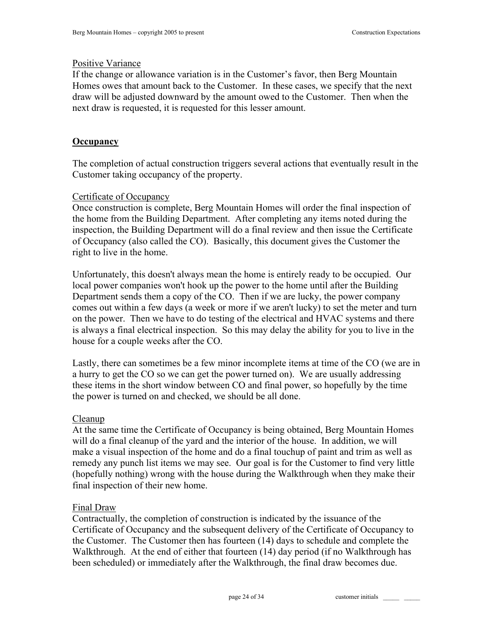#### Positive Variance

If the change or allowance variation is in the Customer's favor, then Berg Mountain Homes owes that amount back to the Customer. In these cases, we specify that the next draw will be adjusted downward by the amount owed to the Customer. Then when the next draw is requested, it is requested for this lesser amount.

## **Occupancy**

The completion of actual construction triggers several actions that eventually result in the Customer taking occupancy of the property.

## Certificate of Occupancy

Once construction is complete, Berg Mountain Homes will order the final inspection of the home from the Building Department. After completing any items noted during the inspection, the Building Department will do a final review and then issue the Certificate of Occupancy (also called the CO). Basically, this document gives the Customer the right to live in the home.

Unfortunately, this doesn't always mean the home is entirely ready to be occupied. Our local power companies won't hook up the power to the home until after the Building Department sends them a copy of the CO. Then if we are lucky, the power company comes out within a few days (a week or more if we aren't lucky) to set the meter and turn on the power. Then we have to do testing of the electrical and HVAC systems and there is always a final electrical inspection. So this may delay the ability for you to live in the house for a couple weeks after the CO.

Lastly, there can sometimes be a few minor incomplete items at time of the CO (we are in a hurry to get the CO so we can get the power turned on). We are usually addressing these items in the short window between CO and final power, so hopefully by the time the power is turned on and checked, we should be all done.

## Cleanup

At the same time the Certificate of Occupancy is being obtained, Berg Mountain Homes will do a final cleanup of the yard and the interior of the house. In addition, we will make a visual inspection of the home and do a final touchup of paint and trim as well as remedy any punch list items we may see. Our goal is for the Customer to find very little (hopefully nothing) wrong with the house during the Walkthrough when they make their final inspection of their new home.

## Final Draw

Contractually, the completion of construction is indicated by the issuance of the Certificate of Occupancy and the subsequent delivery of the Certificate of Occupancy to the Customer. The Customer then has fourteen (14) days to schedule and complete the Walkthrough. At the end of either that fourteen (14) day period (if no Walkthrough has been scheduled) or immediately after the Walkthrough, the final draw becomes due.

page 24 of 34 customer initials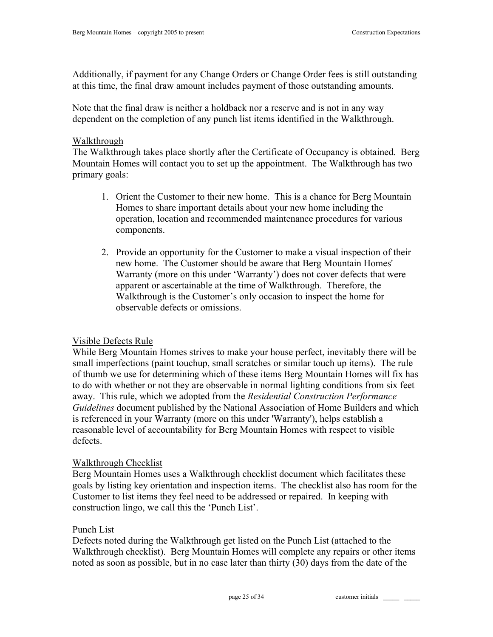Additionally, if payment for any Change Orders or Change Order fees is still outstanding at this time, the final draw amount includes payment of those outstanding amounts.

Note that the final draw is neither a holdback nor a reserve and is not in any way dependent on the completion of any punch list items identified in the Walkthrough.

#### Walkthrough

The Walkthrough takes place shortly after the Certificate of Occupancy is obtained. Berg Mountain Homes will contact you to set up the appointment. The Walkthrough has two primary goals:

- 1. Orient the Customer to their new home. This is a chance for Berg Mountain Homes to share important details about your new home including the operation, location and recommended maintenance procedures for various components.
- 2. Provide an opportunity for the Customer to make a visual inspection of their new home. The Customer should be aware that Berg Mountain Homes' Warranty (more on this under 'Warranty') does not cover defects that were apparent or ascertainable at the time of Walkthrough. Therefore, the Walkthrough is the Customer's only occasion to inspect the home for observable defects or omissions.

## Visible Defects Rule

While Berg Mountain Homes strives to make your house perfect, inevitably there will be small imperfections (paint touchup, small scratches or similar touch up items). The rule of thumb we use for determining which of these items Berg Mountain Homes will fix has to do with whether or not they are observable in normal lighting conditions from six feet away. This rule, which we adopted from the *Residential Construction Performance Guidelines* document published by the National Association of Home Builders and which is referenced in your Warranty (more on this under 'Warranty'), helps establish a reasonable level of accountability for Berg Mountain Homes with respect to visible defects.

## Walkthrough Checklist

Berg Mountain Homes uses a Walkthrough checklist document which facilitates these goals by listing key orientation and inspection items. The checklist also has room for the Customer to list items they feel need to be addressed or repaired. In keeping with construction lingo, we call this the 'Punch List'.

## Punch List

Defects noted during the Walkthrough get listed on the Punch List (attached to the Walkthrough checklist). Berg Mountain Homes will complete any repairs or other items noted as soon as possible, but in no case later than thirty (30) days from the date of the

page 25 of 34 customer initials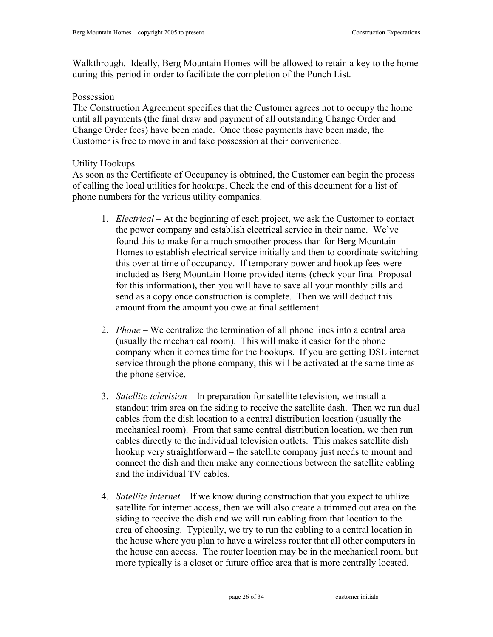Walkthrough. Ideally, Berg Mountain Homes will be allowed to retain a key to the home during this period in order to facilitate the completion of the Punch List.

## Possession

The Construction Agreement specifies that the Customer agrees not to occupy the home until all payments (the final draw and payment of all outstanding Change Order and Change Order fees) have been made. Once those payments have been made, the Customer is free to move in and take possession at their convenience.

#### Utility Hookups

As soon as the Certificate of Occupancy is obtained, the Customer can begin the process of calling the local utilities for hookups. Check the end of this document for a list of phone numbers for the various utility companies.

- 1. *Electrical* At the beginning of each project, we ask the Customer to contact the power company and establish electrical service in their name. We've found this to make for a much smoother process than for Berg Mountain Homes to establish electrical service initially and then to coordinate switching this over at time of occupancy. If temporary power and hookup fees were included as Berg Mountain Home provided items (check your final Proposal for this information), then you will have to save all your monthly bills and send as a copy once construction is complete. Then we will deduct this amount from the amount you owe at final settlement.
- 2. *Phone* We centralize the termination of all phone lines into a central area (usually the mechanical room). This will make it easier for the phone company when it comes time for the hookups. If you are getting DSL internet service through the phone company, this will be activated at the same time as the phone service.
- 3. *Satellite television* In preparation for satellite television, we install a standout trim area on the siding to receive the satellite dash. Then we run dual cables from the dish location to a central distribution location (usually the mechanical room). From that same central distribution location, we then run cables directly to the individual television outlets. This makes satellite dish hookup very straightforward – the satellite company just needs to mount and connect the dish and then make any connections between the satellite cabling and the individual TV cables.
- 4. *Satellite internet*  If we know during construction that you expect to utilize satellite for internet access, then we will also create a trimmed out area on the siding to receive the dish and we will run cabling from that location to the area of choosing. Typically, we try to run the cabling to a central location in the house where you plan to have a wireless router that all other computers in the house can access. The router location may be in the mechanical room, but more typically is a closet or future office area that is more centrally located.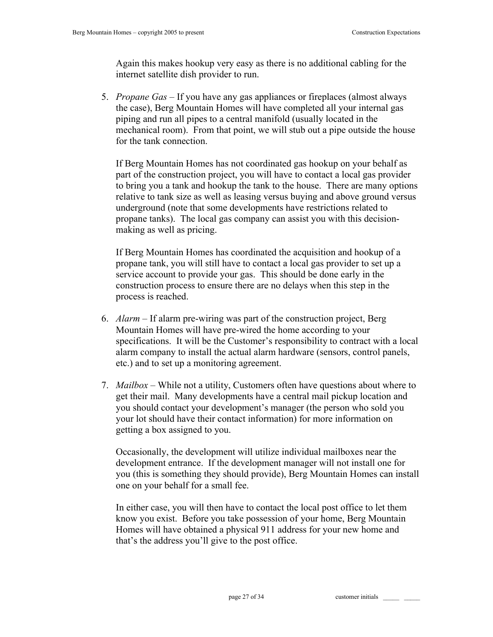Again this makes hookup very easy as there is no additional cabling for the internet satellite dish provider to run.

5. *Propane Gas* – If you have any gas appliances or fireplaces (almost always the case), Berg Mountain Homes will have completed all your internal gas piping and run all pipes to a central manifold (usually located in the mechanical room). From that point, we will stub out a pipe outside the house for the tank connection.

If Berg Mountain Homes has not coordinated gas hookup on your behalf as part of the construction project, you will have to contact a local gas provider to bring you a tank and hookup the tank to the house. There are many options relative to tank size as well as leasing versus buying and above ground versus underground (note that some developments have restrictions related to propane tanks). The local gas company can assist you with this decisionmaking as well as pricing.

If Berg Mountain Homes has coordinated the acquisition and hookup of a propane tank, you will still have to contact a local gas provider to set up a service account to provide your gas. This should be done early in the construction process to ensure there are no delays when this step in the process is reached.

- 6. *Alarm*  If alarm pre-wiring was part of the construction project, Berg Mountain Homes will have pre-wired the home according to your specifications. It will be the Customer's responsibility to contract with a local alarm company to install the actual alarm hardware (sensors, control panels, etc.) and to set up a monitoring agreement.
- 7. *Mailbox* While not a utility, Customers often have questions about where to get their mail. Many developments have a central mail pickup location and you should contact your development's manager (the person who sold you your lot should have their contact information) for more information on getting a box assigned to you.

Occasionally, the development will utilize individual mailboxes near the development entrance. If the development manager will not install one for you (this is something they should provide), Berg Mountain Homes can install one on your behalf for a small fee.

In either case, you will then have to contact the local post office to let them know you exist. Before you take possession of your home, Berg Mountain Homes will have obtained a physical 911 address for your new home and that's the address you'll give to the post office.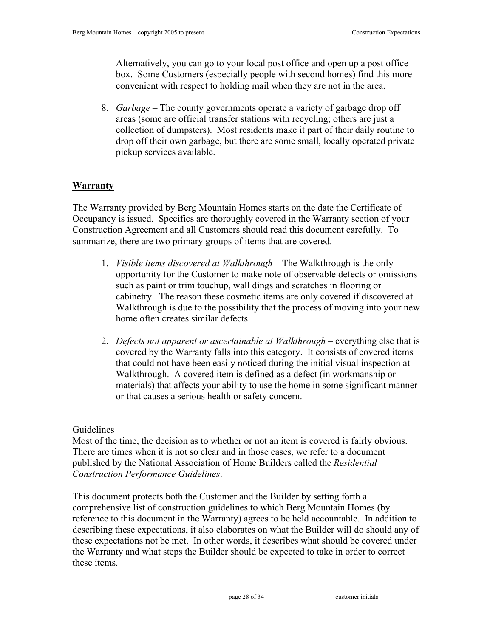Alternatively, you can go to your local post office and open up a post office box. Some Customers (especially people with second homes) find this more convenient with respect to holding mail when they are not in the area.

8. *Garbage* – The county governments operate a variety of garbage drop off areas (some are official transfer stations with recycling; others are just a collection of dumpsters). Most residents make it part of their daily routine to drop off their own garbage, but there are some small, locally operated private pickup services available.

# **Warranty**

The Warranty provided by Berg Mountain Homes starts on the date the Certificate of Occupancy is issued. Specifics are thoroughly covered in the Warranty section of your Construction Agreement and all Customers should read this document carefully. To summarize, there are two primary groups of items that are covered.

- 1. *Visible items discovered at Walkthrough –* The Walkthrough is the only opportunity for the Customer to make note of observable defects or omissions such as paint or trim touchup, wall dings and scratches in flooring or cabinetry. The reason these cosmetic items are only covered if discovered at Walkthrough is due to the possibility that the process of moving into your new home often creates similar defects.
- 2. *Defects not apparent or ascertainable at Walkthrough* everything else that is covered by the Warranty falls into this category. It consists of covered items that could not have been easily noticed during the initial visual inspection at Walkthrough. A covered item is defined as a defect (in workmanship or materials) that affects your ability to use the home in some significant manner or that causes a serious health or safety concern.

## Guidelines

Most of the time, the decision as to whether or not an item is covered is fairly obvious. There are times when it is not so clear and in those cases, we refer to a document published by the National Association of Home Builders called the *Residential Construction Performance Guidelines*.

This document protects both the Customer and the Builder by setting forth a comprehensive list of construction guidelines to which Berg Mountain Homes (by reference to this document in the Warranty) agrees to be held accountable. In addition to describing these expectations, it also elaborates on what the Builder will do should any of these expectations not be met. In other words, it describes what should be covered under the Warranty and what steps the Builder should be expected to take in order to correct these items.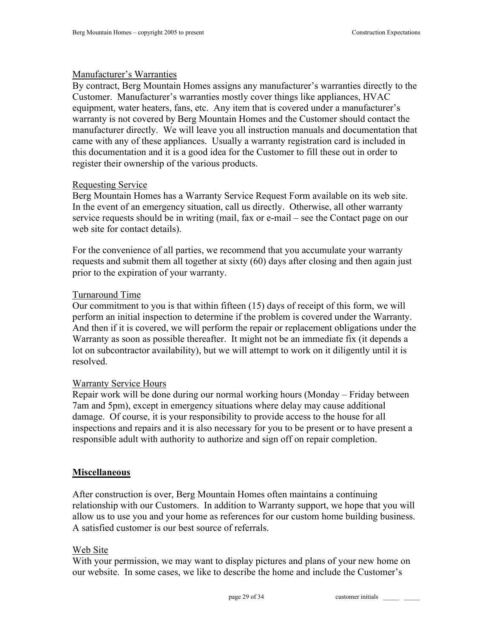## Manufacturer's Warranties

By contract, Berg Mountain Homes assigns any manufacturer's warranties directly to the Customer. Manufacturer's warranties mostly cover things like appliances, HVAC equipment, water heaters, fans, etc. Any item that is covered under a manufacturer's warranty is not covered by Berg Mountain Homes and the Customer should contact the manufacturer directly. We will leave you all instruction manuals and documentation that came with any of these appliances. Usually a warranty registration card is included in this documentation and it is a good idea for the Customer to fill these out in order to register their ownership of the various products.

## Requesting Service

Berg Mountain Homes has a Warranty Service Request Form available on its web site. In the event of an emergency situation, call us directly. Otherwise, all other warranty service requests should be in writing (mail, fax or e-mail – see the Contact page on our web site for contact details).

For the convenience of all parties, we recommend that you accumulate your warranty requests and submit them all together at sixty (60) days after closing and then again just prior to the expiration of your warranty.

## Turnaround Time

Our commitment to you is that within fifteen (15) days of receipt of this form, we will perform an initial inspection to determine if the problem is covered under the Warranty. And then if it is covered, we will perform the repair or replacement obligations under the Warranty as soon as possible thereafter. It might not be an immediate fix (it depends a lot on subcontractor availability), but we will attempt to work on it diligently until it is resolved.

## Warranty Service Hours

Repair work will be done during our normal working hours (Monday – Friday between 7am and 5pm), except in emergency situations where delay may cause additional damage. Of course, it is your responsibility to provide access to the house for all inspections and repairs and it is also necessary for you to be present or to have present a responsible adult with authority to authorize and sign off on repair completion.

## **Miscellaneous**

After construction is over, Berg Mountain Homes often maintains a continuing relationship with our Customers. In addition to Warranty support, we hope that you will allow us to use you and your home as references for our custom home building business. A satisfied customer is our best source of referrals.

## Web Site

With your permission, we may want to display pictures and plans of your new home on our website. In some cases, we like to describe the home and include the Customer's

page 29 of 34 customer initials  $\qquad$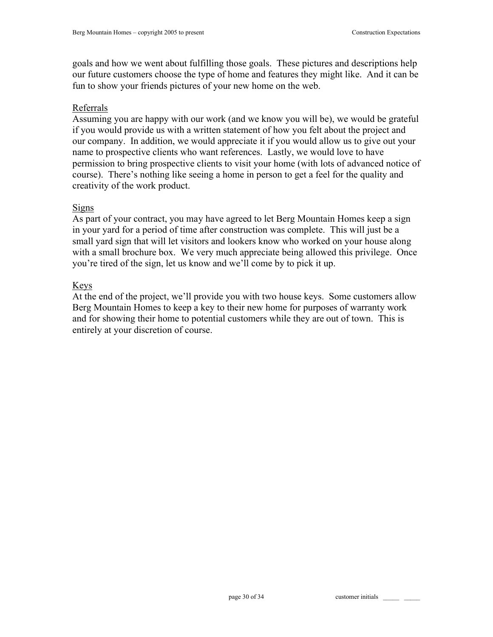goals and how we went about fulfilling those goals. These pictures and descriptions help our future customers choose the type of home and features they might like. And it can be fun to show your friends pictures of your new home on the web.

# Referrals

Assuming you are happy with our work (and we know you will be), we would be grateful if you would provide us with a written statement of how you felt about the project and our company. In addition, we would appreciate it if you would allow us to give out your name to prospective clients who want references. Lastly, we would love to have permission to bring prospective clients to visit your home (with lots of advanced notice of course). There's nothing like seeing a home in person to get a feel for the quality and creativity of the work product.

## **Signs**

As part of your contract, you may have agreed to let Berg Mountain Homes keep a sign in your yard for a period of time after construction was complete. This will just be a small yard sign that will let visitors and lookers know who worked on your house along with a small brochure box. We very much appreciate being allowed this privilege. Once you're tired of the sign, let us know and we'll come by to pick it up.

# Keys

At the end of the project, we'll provide you with two house keys. Some customers allow Berg Mountain Homes to keep a key to their new home for purposes of warranty work and for showing their home to potential customers while they are out of town. This is entirely at your discretion of course.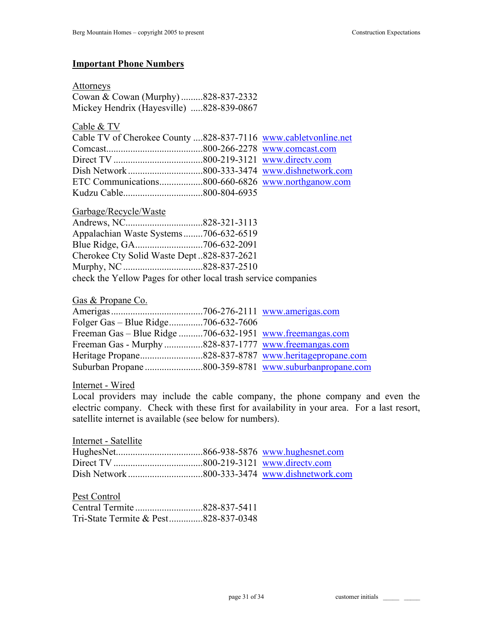#### **Important Phone Numbers**

#### Attorneys

Cowan & Cowan (Murphy) .........828-837-2332 Mickey Hendrix (Hayesville) .....828-839-0867

Cable & TV

| Cable TV of Cherokee County 828-837-7116 www.cabletvonline.net |  |
|----------------------------------------------------------------|--|
|                                                                |  |
|                                                                |  |
|                                                                |  |
|                                                                |  |
|                                                                |  |

#### Garbage/Recycle/Waste

| Appalachian Waste Systems706-632-6519                          |  |
|----------------------------------------------------------------|--|
|                                                                |  |
| Cherokee Cty Solid Waste Dept828-837-2621                      |  |
|                                                                |  |
| check the Yellow Pages for other local trash service companies |  |

#### Gas & Propane Co.

| Folger Gas – Blue Ridge706-632-7606                      |  |
|----------------------------------------------------------|--|
| Freeman Gas – Blue Ridge 706-632-1951 www.freemangas.com |  |
| Freeman Gas - Murphy828-837-1777 www.freemangas.com      |  |
|                                                          |  |
|                                                          |  |

#### Internet - Wired

Local providers may include the cable company, the phone company and even the electric company. Check with these first for availability in your area. For a last resort, satellite internet is available (see below for numbers).

Pest Control

| Tri-State Termite & Pest828-837-0348 |  |
|--------------------------------------|--|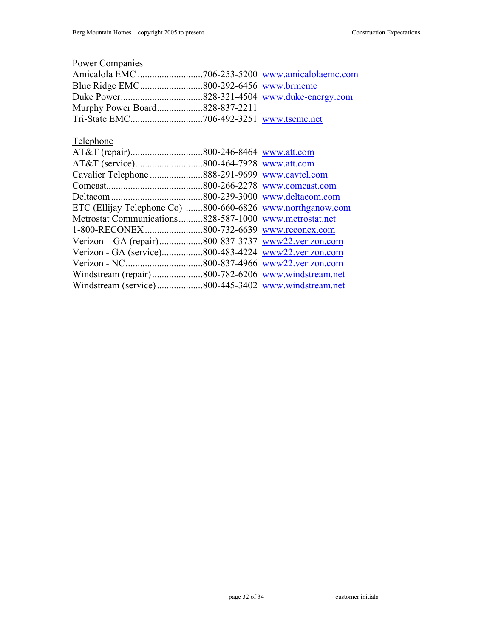| <b>Power Companies</b>                  |              |                    |
|-----------------------------------------|--------------|--------------------|
|                                         |              |                    |
|                                         |              |                    |
|                                         |              |                    |
| Murphy Power Board828-837-2211          |              |                    |
|                                         |              | www.tsemc.net      |
| Telephone                               |              |                    |
|                                         |              |                    |
|                                         |              | www.att.com        |
|                                         |              | www.cavtel.com     |
|                                         |              | www.comcast.com    |
|                                         |              | www.deltacom.com   |
| ETC (Ellijay Telephone Co) 800-660-6826 |              | www.northganow.com |
| Metrostat Communications828-587-1000    |              | www.metrostat.net  |
| 1-800-RECONEX                           | 800-732-6639 | www.reconex.com    |
|                                         |              | www22.verizon.com  |
| Verizon - GA (service)800-483-4224      |              | www22.verizon.com  |
|                                         |              | www22.verizon.com  |
| Windstream (repair)800-782-6206         |              | www.windstream.net |
|                                         |              |                    |

page 32 of 34 customer initials \_\_\_\_\_\_ \_\_\_\_\_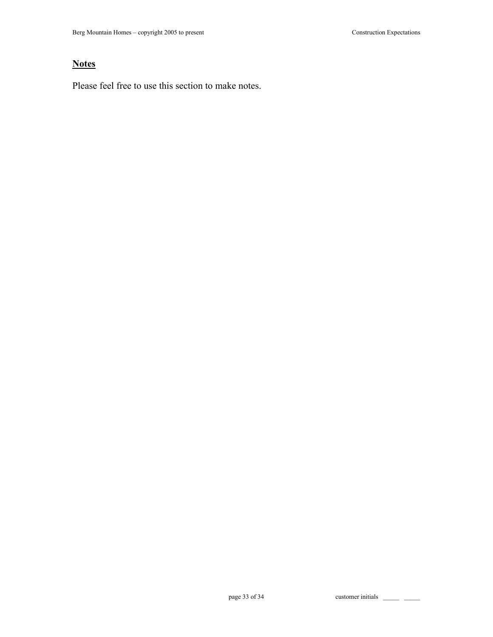# **Notes**

Please feel free to use this section to make notes.